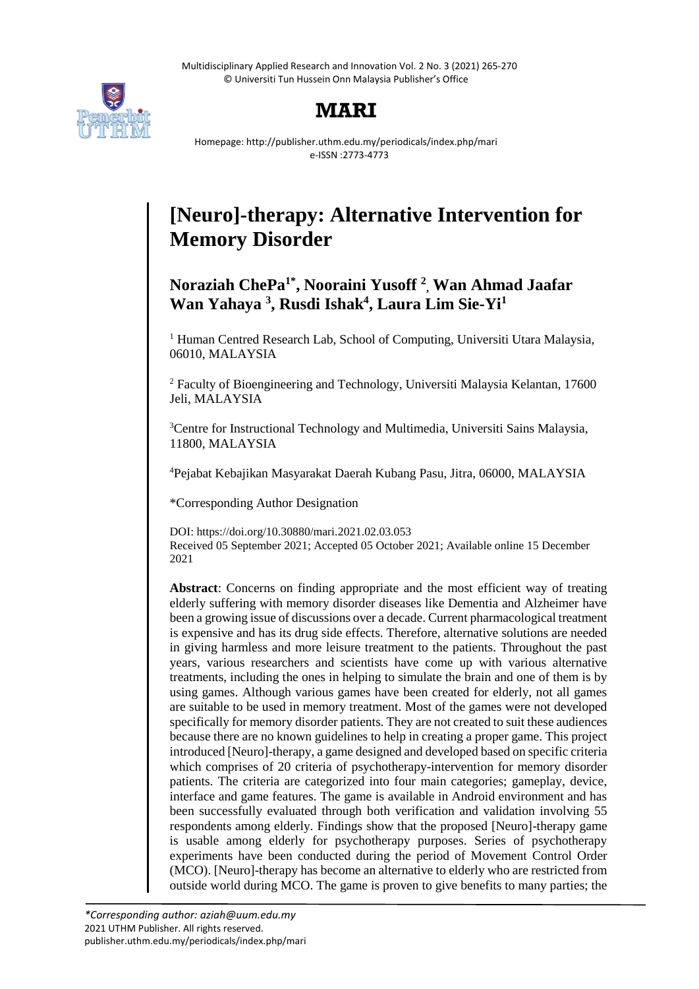Multidisciplinary Applied Research and Innovation Vol. 2 No. 3 (2021) 265-270 © Universiti Tun Hussein Onn Malaysia Publisher's Office



## **MARI**

Homepage: http://publisher.uthm.edu.my/periodicals/index.php/mari e-ISSN :2773-4773

# **[Neuro]-therapy: Alternative Intervention for Memory Disorder**

### **Noraziah ChePa1\* , Nooraini Yusoff <sup>2</sup> , Wan Ahmad Jaafar Wan Yahaya <sup>3</sup> , Rusdi Ishak<sup>4</sup> , Laura Lim Sie-Yi<sup>1</sup>**

<sup>1</sup> Human Centred Research Lab, School of Computing, Universiti Utara Malaysia, 06010, MALAYSIA

<sup>2</sup> Faculty of Bioengineering and Technology, Universiti Malaysia Kelantan, 17600 Jeli, MALAYSIA

<sup>3</sup>Centre for Instructional Technology and Multimedia, Universiti Sains Malaysia, 11800, MALAYSIA

<sup>4</sup>Pejabat Kebajikan Masyarakat Daerah Kubang Pasu, Jitra, 06000, MALAYSIA

\*Corresponding Author Designation

DOI: https://doi.org/10.30880/mari.2021.02.03.053 Received 05 September 2021; Accepted 05 October 2021; Available online 15 December 2021

**Abstract**: Concerns on finding appropriate and the most efficient way of treating elderly suffering with memory disorder diseases like Dementia and Alzheimer have been a growing issue of discussions over a decade. Current pharmacological treatment is expensive and has its drug side effects. Therefore, alternative solutions are needed in giving harmless and more leisure treatment to the patients. Throughout the past years, various researchers and scientists have come up with various alternative treatments, including the ones in helping to simulate the brain and one of them is by using games. Although various games have been created for elderly, not all games are suitable to be used in memory treatment. Most of the games were not developed specifically for memory disorder patients. They are not created to suit these audiences because there are no known guidelines to help in creating a proper game. This project introduced [Neuro]-therapy, a game designed and developed based on specific criteria which comprises of 20 criteria of psychotherapy-intervention for memory disorder patients. The criteria are categorized into four main categories; gameplay, device, interface and game features. The game is available in Android environment and has been successfully evaluated through both verification and validation involving 55 respondents among elderly. Findings show that the proposed [Neuro]-therapy game is usable among elderly for psychotherapy purposes. Series of psychotherapy experiments have been conducted during the period of Movement Control Order (MCO). [Neuro]-therapy has become an alternative to elderly who are restricted from outside world during MCO. The game is proven to give benefits to many parties; the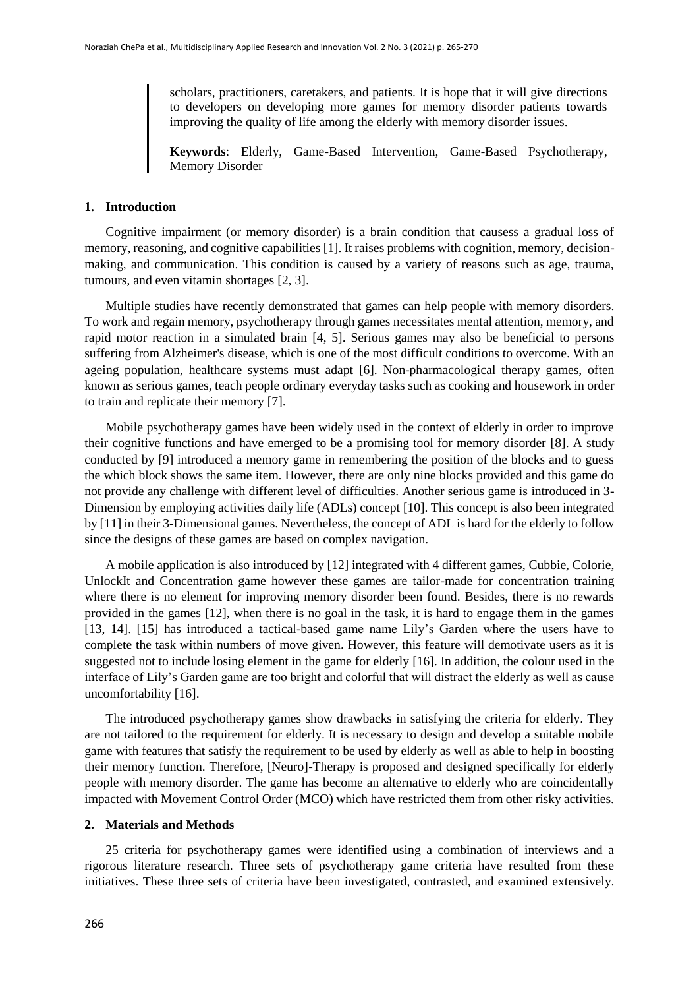scholars, practitioners, caretakers, and patients. It is hope that it will give directions to developers on developing more games for memory disorder patients towards improving the quality of life among the elderly with memory disorder issues.

**Keywords**: Elderly, Game-Based Intervention, Game-Based Psychotherapy, Memory Disorder

#### **1. Introduction**

Cognitive impairment (or memory disorder) is a brain condition that causess a gradual loss of memory, reasoning, and cognitive capabilities [1]. It raises problems with cognition, memory, decisionmaking, and communication. This condition is caused by a variety of reasons such as age, trauma, tumours, and even vitamin shortages [2, 3].

Multiple studies have recently demonstrated that games can help people with memory disorders. To work and regain memory, psychotherapy through games necessitates mental attention, memory, and rapid motor reaction in a simulated brain [4, 5]. Serious games may also be beneficial to persons suffering from Alzheimer's disease, which is one of the most difficult conditions to overcome. With an ageing population, healthcare systems must adapt [6]. Non-pharmacological therapy games, often known as serious games, teach people ordinary everyday tasks such as cooking and housework in order to train and replicate their memory [7].

Mobile psychotherapy games have been widely used in the context of elderly in order to improve their cognitive functions and have emerged to be a promising tool for memory disorder [8]. A study conducted by [9] introduced a memory game in remembering the position of the blocks and to guess the which block shows the same item. However, there are only nine blocks provided and this game do not provide any challenge with different level of difficulties. Another serious game is introduced in 3- Dimension by employing activities daily life (ADLs) concept [10]. This concept is also been integrated by [11] in their 3-Dimensional games. Nevertheless, the concept of ADL is hard for the elderly to follow since the designs of these games are based on complex navigation.

A mobile application is also introduced by [12] integrated with 4 different games, Cubbie, Colorie, UnlockIt and Concentration game however these games are tailor-made for concentration training where there is no element for improving memory disorder been found. Besides, there is no rewards provided in the games [12], when there is no goal in the task, it is hard to engage them in the games [13, 14]. [15] has introduced a tactical-based game name Lily's Garden where the users have to complete the task within numbers of move given. However, this feature will demotivate users as it is suggested not to include losing element in the game for elderly [16]. In addition, the colour used in the interface of Lily's Garden game are too bright and colorful that will distract the elderly as well as cause uncomfortability [16].

The introduced psychotherapy games show drawbacks in satisfying the criteria for elderly. They are not tailored to the requirement for elderly. It is necessary to design and develop a suitable mobile game with features that satisfy the requirement to be used by elderly as well as able to help in boosting their memory function. Therefore, [Neuro]-Therapy is proposed and designed specifically for elderly people with memory disorder. The game has become an alternative to elderly who are coincidentally impacted with Movement Control Order (MCO) which have restricted them from other risky activities.

#### **2. Materials and Methods**

25 criteria for psychotherapy games were identified using a combination of interviews and a rigorous literature research. Three sets of psychotherapy game criteria have resulted from these initiatives. These three sets of criteria have been investigated, contrasted, and examined extensively.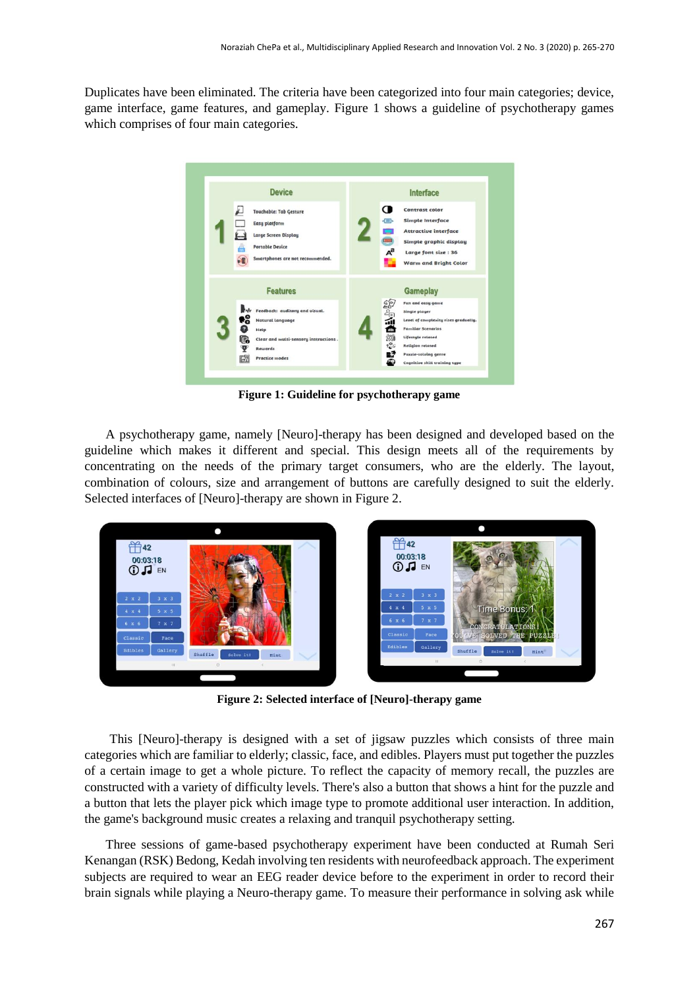Duplicates have been eliminated. The criteria have been categorized into four main categories; device, game interface, game features, and gameplay. Figure 1 shows a guideline of psychotherapy games which comprises of four main categories.



**Figure 1: Guideline for psychotherapy game**

A psychotherapy game, namely [Neuro]-therapy has been designed and developed based on the guideline which makes it different and special. This design meets all of the requirements by concentrating on the needs of the primary target consumers, who are the elderly. The layout, combination of colours, size and arrangement of buttons are carefully designed to suit the elderly. Selected interfaces of [Neuro]-therapy are shown in Figure 2.



**Figure 2: Selected interface of [Neuro]-therapy game**

This [Neuro]-therapy is designed with a set of jigsaw puzzles which consists of three main categories which are familiar to elderly; classic, face, and edibles. Players must put together the puzzles of a certain image to get a whole picture. To reflect the capacity of memory recall, the puzzles are constructed with a variety of difficulty levels. There's also a button that shows a hint for the puzzle and a button that lets the player pick which image type to promote additional user interaction. In addition, the game's background music creates a relaxing and tranquil psychotherapy setting.

Three sessions of game-based psychotherapy experiment have been conducted at Rumah Seri Kenangan (RSK) Bedong, Kedah involving ten residents with neurofeedback approach. The experiment subjects are required to wear an EEG reader device before to the experiment in order to record their brain signals while playing a Neuro-therapy game. To measure their performance in solving ask while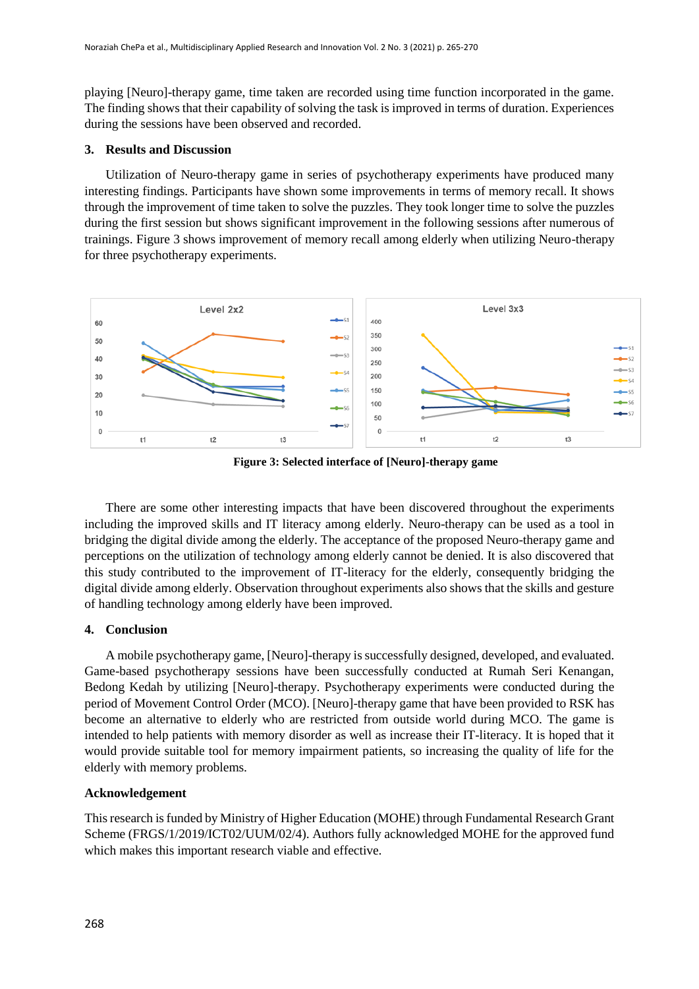playing [Neuro]-therapy game, time taken are recorded using time function incorporated in the game. The finding shows that their capability of solving the task is improved in terms of duration. Experiences during the sessions have been observed and recorded.

#### **3. Results and Discussion**

Utilization of Neuro-therapy game in series of psychotherapy experiments have produced many interesting findings. Participants have shown some improvements in terms of memory recall. It shows through the improvement of time taken to solve the puzzles. They took longer time to solve the puzzles during the first session but shows significant improvement in the following sessions after numerous of trainings. Figure 3 shows improvement of memory recall among elderly when utilizing Neuro-therapy for three psychotherapy experiments.



**Figure 3: Selected interface of [Neuro]-therapy game**

There are some other interesting impacts that have been discovered throughout the experiments including the improved skills and IT literacy among elderly. Neuro-therapy can be used as a tool in bridging the digital divide among the elderly. The acceptance of the proposed Neuro-therapy game and perceptions on the utilization of technology among elderly cannot be denied. It is also discovered that this study contributed to the improvement of IT-literacy for the elderly, consequently bridging the digital divide among elderly. Observation throughout experiments also shows that the skills and gesture of handling technology among elderly have been improved.

#### **4. Conclusion**

A mobile psychotherapy game, [Neuro]-therapy is successfully designed, developed, and evaluated. Game-based psychotherapy sessions have been successfully conducted at Rumah Seri Kenangan, Bedong Kedah by utilizing [Neuro]-therapy. Psychotherapy experiments were conducted during the period of Movement Control Order (MCO). [Neuro]-therapy game that have been provided to RSK has become an alternative to elderly who are restricted from outside world during MCO. The game is intended to help patients with memory disorder as well as increase their IT-literacy. It is hoped that it would provide suitable tool for memory impairment patients, so increasing the quality of life for the elderly with memory problems.

#### **Acknowledgement**

This research is funded by Ministry of Higher Education (MOHE) through Fundamental Research Grant Scheme (FRGS/1/2019/ICT02/UUM/02/4). Authors fully acknowledged MOHE for the approved fund which makes this important research viable and effective.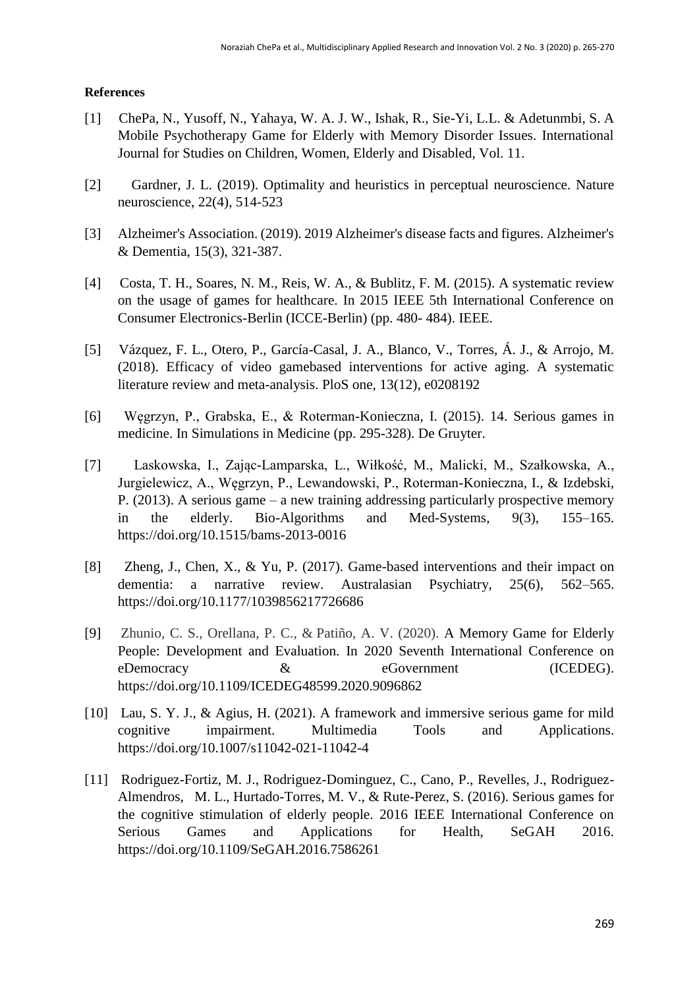#### **References**

- [1] ChePa, N., Yusoff, N., Yahaya, W. A. J. W., Ishak, R., Sie-Yi, L.L. & Adetunmbi, S. A Mobile Psychotherapy Game for Elderly with Memory Disorder Issues. International Journal for Studies on Children, Women, Elderly and Disabled, Vol. 11.
- [2] Gardner, J. L. (2019). Optimality and heuristics in perceptual neuroscience. Nature neuroscience, 22(4), 514-523
- [3] Alzheimer's Association. (2019). 2019 Alzheimer's disease facts and figures. Alzheimer's & Dementia, 15(3), 321-387.
- [4] Costa, T. H., Soares, N. M., Reis, W. A., & Bublitz, F. M. (2015). A systematic review on the usage of games for healthcare. In 2015 IEEE 5th International Conference on Consumer Electronics-Berlin (ICCE-Berlin) (pp. 480- 484). IEEE.
- [5] Vázquez, F. L., Otero, P., García-Casal, J. A., Blanco, V., Torres, Á. J., & Arrojo, M. (2018). Efficacy of video gamebased interventions for active aging. A systematic literature review and meta-analysis. PloS one, 13(12), e0208192
- [6] Węgrzyn, P., Grabska, E., & Roterman-Konieczna, I. (2015). 14. Serious games in medicine. In Simulations in Medicine (pp. 295-328). De Gruyter.
- [7] Laskowska, I., Zając-Lamparska, L., Wiłkość, M., Malicki, M., Szałkowska, A., Jurgielewicz, A., Węgrzyn, P., Lewandowski, P., Roterman-Konieczna, I., & Izdebski, P. (2013). A serious game – a new training addressing particularly prospective memory in the elderly. Bio-Algorithms and Med-Systems, 9(3), 155–165. https://doi.org/10.1515/bams-2013-0016
- [8] Zheng, J., Chen, X., & Yu, P. (2017). Game-based interventions and their impact on dementia: a narrative review. Australasian Psychiatry, 25(6), 562–565. https://doi.org/10.1177/1039856217726686
- [9] Zhunio, C. S., Orellana, P. C., & Patiño, A. V. (2020). A Memory Game for Elderly People: Development and Evaluation. In 2020 Seventh International Conference on eDemocracy  $\&$  eGovernment (ICEDEG). https://doi.org/10.1109/ICEDEG48599.2020.9096862
- [10] Lau, S. Y. J., & Agius, H. (2021). A framework and immersive serious game for mild cognitive impairment. Multimedia Tools and Applications. https://doi.org/10.1007/s11042-021-11042-4
- [11] Rodriguez-Fortiz, M. J., Rodriguez-Dominguez, C., Cano, P., Revelles, J., Rodriguez-Almendros, M. L., Hurtado-Torres, M. V., & Rute-Perez, S. (2016). Serious games for the cognitive stimulation of elderly people. 2016 IEEE International Conference on Serious Games and Applications for Health, SeGAH 2016. https://doi.org/10.1109/SeGAH.2016.7586261